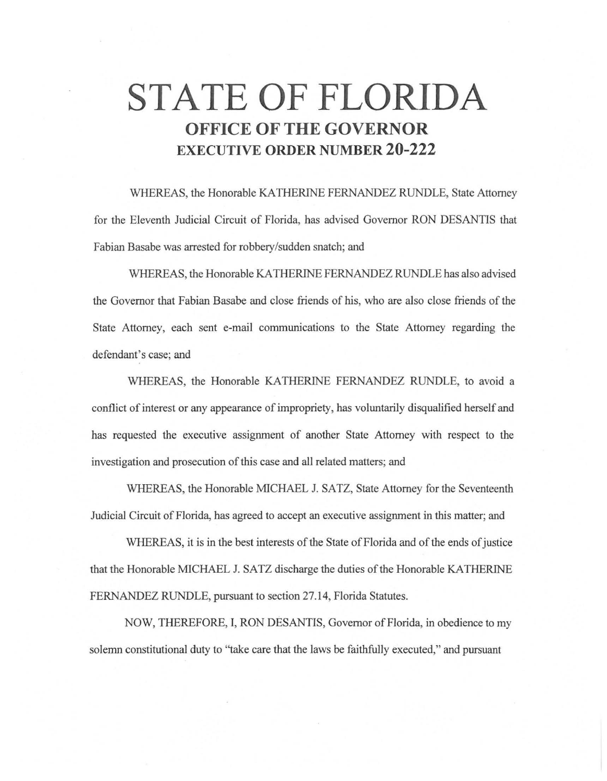# **STATE OF FLORIDA OFFICE OF THE GOVERNOR EXECUTIVE ORDER NUMBER 20-222**

WHEREAS, the Honorable KA THERINE FERNANDEZ RUNDLE, State Attorney for the Eleventh Judicial Circuit of Florida, has advised Governor RON DESANTIS that Fabian Basabe was arrested for robbery/sudden snatch; and

WHEREAS, the Honorable KA THERINE FERNANDEZ RUNDLE has also advised the Governor that Fabian Basabe and close friends of his, who are also close friends of the State Attorney, each sent e-mail communications to the State Attorney regarding the defendant's case; and

WHEREAS, the Honorable KATHERINE FERNANDEZ RUNDLE, to avoid a conflict of interest or any appearance of impropriety, has voluntarily disqualified herself and has requested the executive assignment of another State Attorney with respect to the investigation and prosecution of this case and all related matters; and

WHEREAS, the Honorable MICHAEL J. SATZ, State Attorney for the Seventeenth Judicial Circuit of Florida, has agreed to accept an executive assignment in this matter; and

WHEREAS, it is in the best interests of the State of Florida and of the ends of justice that the Honorable MICHAEL J. SATZ discharge the duties of the Honorable KATHERINE FERNANDEZ RUNDLE, pursuant to section 27.14, Florida Statutes.

NOW, THEREFORE, I, RON DESANTIS, Governor of Florida, in obedience to my solemn constitutional duty to "take care that the laws be faithfully executed," and pursuant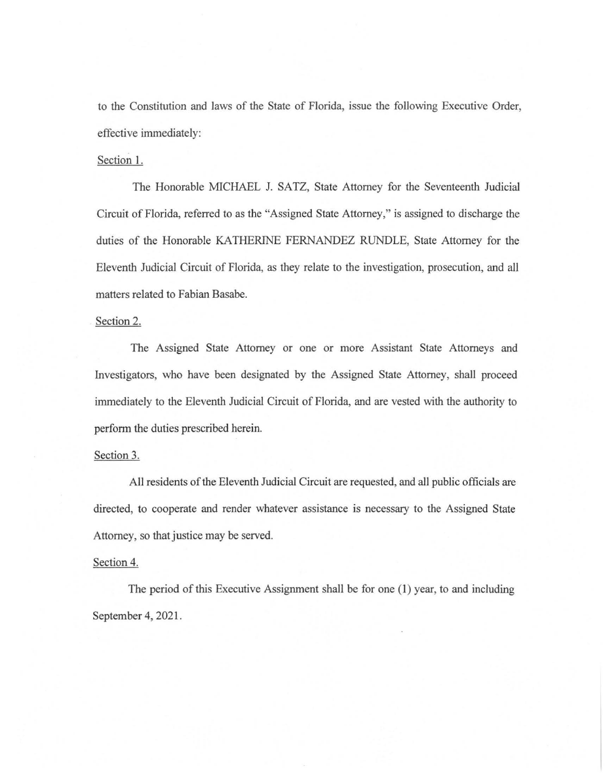to the Constitution and laws of the State of Florida, issue the following Executive Order, effective immediately:

## Section 1.

The Honorable MICHAEL J. SATZ, State Attorney for the Seventeenth Judicial Circuit of Florida, referred to as the "Assigned State Attorney," is assigned to discharge the duties of the Honorable KATHERINE FERNANDEZ RUNDLE, State Attorney for the Eleventh Judicial Circuit of Florida, as they relate to the investigation, prosecution, and all matters related to Fabian Basabe.

#### Section 2.

The Assigned State Attorney or one or more Assistant State Attorneys and Investigators, who have been designated by the Assigned State Attorney, shall proceed immediately to the Eleventh Judicial Circuit of Florida, and are vested with the authority to perform the duties prescribed herein.

### Section 3.

All residents of the Eleventh Judicial Circuit are requested, and all public officials are directed, to cooperate and render whatever assistance is necessary to the Assigned State Attorney, so that justice may be served.

## Section 4.

The period of this Executive Assignment shall be for one  $(1)$  year, to and including September 4, 2021.